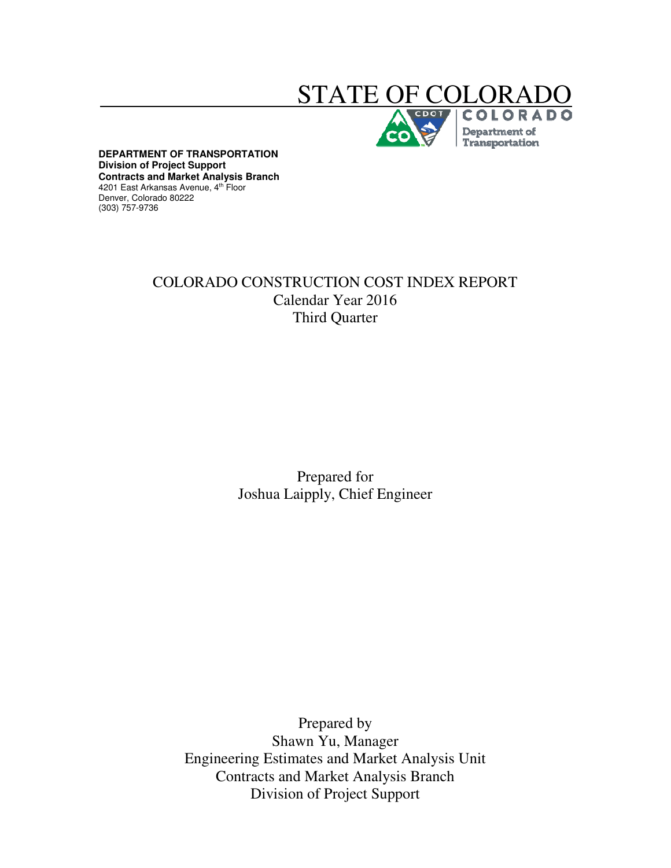# STATE OF COLO

Department of Transportation

**DEPARTMENT OF TRANSPORTATION Division of Project Support Contracts and Market Analysis Branch**  4201 East Arkansas Avenue, 4<sup>th</sup> Floor Denver, Colorado 80222 (303) 757-9736

# COLORADO CONSTRUCTION COST INDEX REPORT Calendar Year 2016 Third Quarter

Prepared for Joshua Laipply, Chief Engineer

Prepared by Shawn Yu, Manager Engineering Estimates and Market Analysis Unit Contracts and Market Analysis Branch Division of Project Support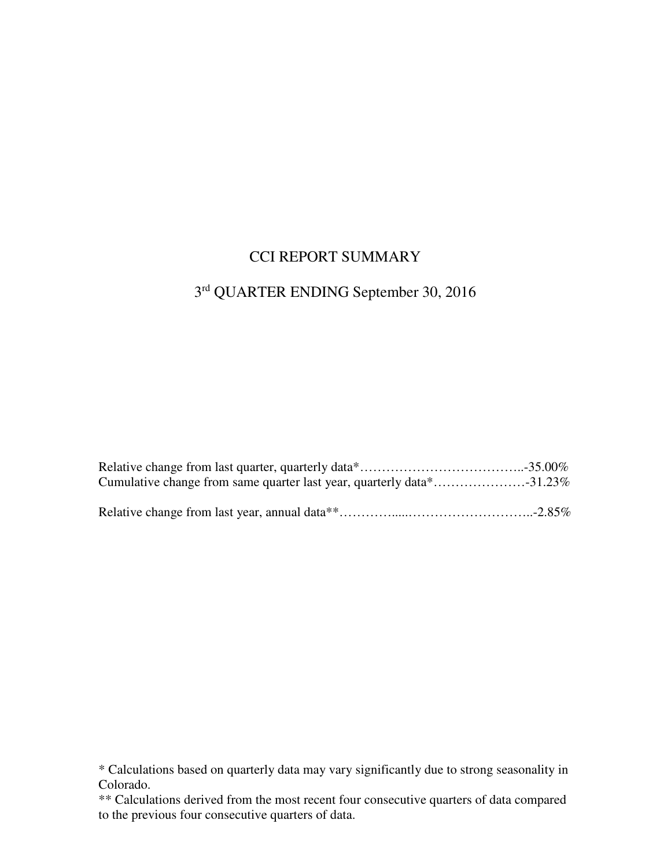## CCI REPORT SUMMARY

## 3 rd QUARTER ENDING September 30, 2016

<sup>\*</sup> Calculations based on quarterly data may vary significantly due to strong seasonality in Colorado.

<sup>\*\*</sup> Calculations derived from the most recent four consecutive quarters of data compared to the previous four consecutive quarters of data.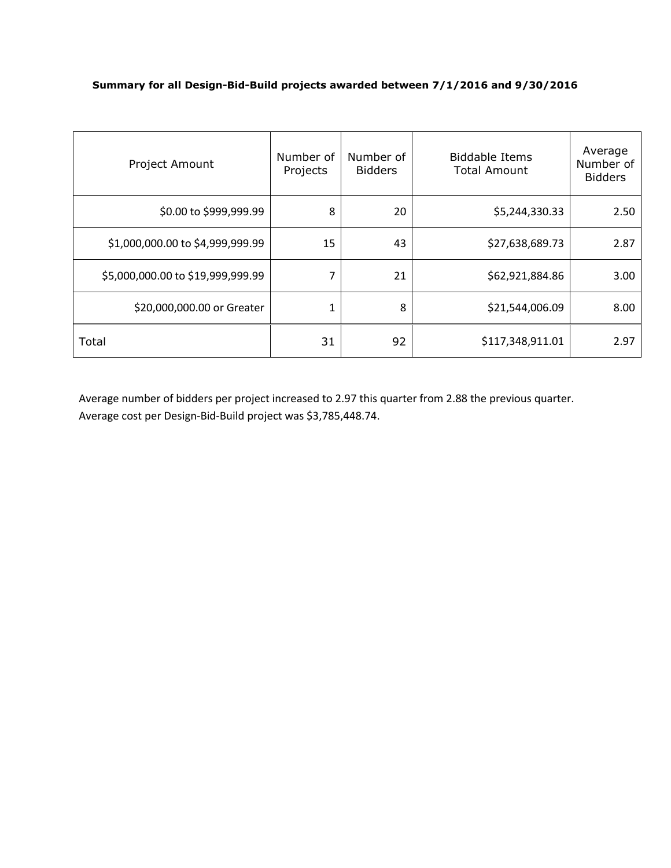#### **Summary for all Design-Bid-Build projects awarded between 7/1/2016 and 9/30/2016**

| Project Amount                    | Number of<br>Projects | Number of<br><b>Bidders</b> | <b>Biddable Items</b><br><b>Total Amount</b> | Average<br>Number of<br><b>Bidders</b> |
|-----------------------------------|-----------------------|-----------------------------|----------------------------------------------|----------------------------------------|
| \$0.00 to \$999,999.99            | 8                     | 20                          | \$5,244,330.33                               | 2.50                                   |
| \$1,000,000.00 to \$4,999,999.99  | 15                    | 43                          | \$27,638,689.73                              | 2.87                                   |
| \$5,000,000.00 to \$19,999,999.99 | 7                     | 21                          | \$62,921,884.86                              | 3.00                                   |
| \$20,000,000.00 or Greater        | 1                     | 8                           | \$21,544,006.09                              | 8.00                                   |
| Total                             | 31                    | 92                          | \$117,348,911.01                             | 2.97                                   |

Average number of bidders per project increased to 2.97 this quarter from 2.88 the previous quarter. Average cost per Design-Bid-Build project was \$3,785,448.74.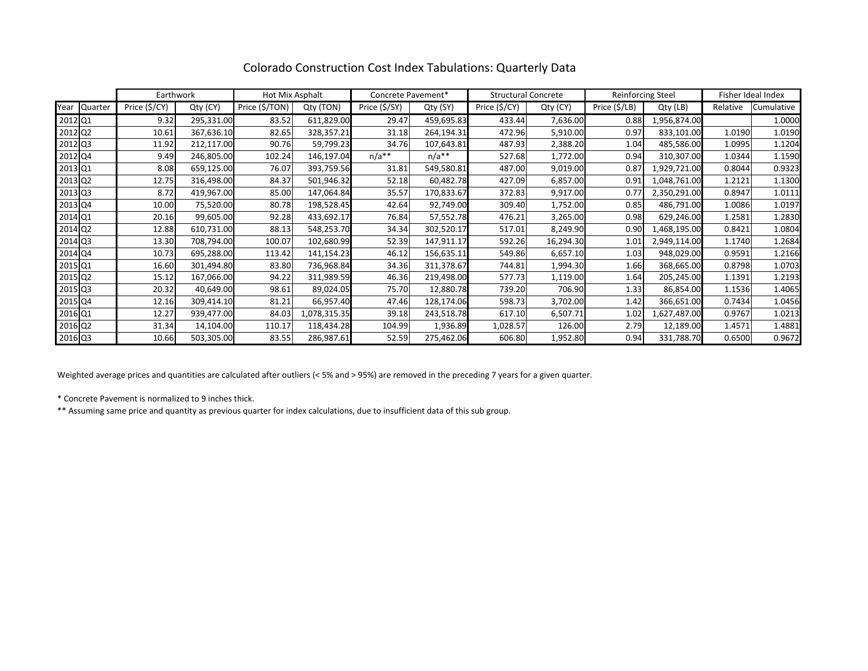|         |              | Earthwork     |            | Hot Mix Asphalt |              | Concrete Pavement* |            | <b>Structural Concrete</b> |           | Reinforcing Steel      |              | Fisher Ideal Index |            |
|---------|--------------|---------------|------------|-----------------|--------------|--------------------|------------|----------------------------|-----------|------------------------|--------------|--------------------|------------|
|         | Year Quarter | Price (\$/CY) | Qty (CY)   | Price (\$/TON)  | Qty (TON)    | Price (\$/SY)      | Qty (SY)   | Price (\$/CY)              | Qty (CY)  | Price $(\frac{5}{LB})$ | Qty (LB)     | Relative           | Cumulative |
| 2012 Q1 |              | 9.32          | 295,331.00 | 83.52           | 611,829.00   | 29.47              | 459,695.83 | 433.44                     | 7,636.00  | 0.88                   | 1,956,874.00 |                    | 1.0000     |
| 2012 Q2 |              | 10.61         | 367,636.10 | 82.65           | 328,357.21   | 31.18              | 264,194.31 | 472.96                     | 5,910.00  | 0.97                   | 833,101.00   | 1.0190             | 1.0190     |
| 2012 Q3 |              | 11.92         | 212,117.00 | 90.76           | 59,799.23    | 34.76              | 107,643.81 | 487.93                     | 2,388.20  | 1.04                   | 485,586.00   | 1.0995             | 1.1204     |
| 2012 Q4 |              | 9.49          | 246,805.00 | 102.24          | 146,197.04   | $n/a**$            | $n/a**$    | 527.68                     | 1,772.00  | 0.94                   | 310,307.00   | 1.0344             | 1.1590     |
| 2013 Q1 |              | 8.08          | 659,125.00 | 76.07           | 393,759.56   | 31.81              | 549,580.81 | 487.00                     | 9,019.00  | 0.87                   | 1,929,721.00 | 0.8044             | 0.9323     |
| 2013 Q2 |              | 12.75         | 316,498.00 | 84.37           | 501,946.32   | 52.18              | 60,482.78  | 427.09                     | 6,857.00  | 0.91                   | 1,048,761.00 | 1.2121             | 1.1300     |
| 2013 Q3 |              | 8.72          | 419,967.00 | 85.00           | 147,064.84   | 35.57              | 170,833.67 | 372.83                     | 9,917.00  | 0.77                   | 2,350,291.00 | 0.8947             | 1.0111     |
| 2013 Q4 |              | 10.00         | 75,520.00  | 80.78           | 198,528.45   | 42.64              | 92,749.00  | 309.40                     | 1,752.00  | 0.85                   | 486,791.00   | 1.0086             | 1.0197     |
| 2014 Q1 |              | 20.16         | 99,605.00  | 92.28           | 433,692.17   | 76.84              | 57,552.78  | 476.21                     | 3,265.00  | 0.98                   | 629,246.00   | 1.2581             | 1.2830     |
| 2014 Q2 |              | 12.88         | 610,731.00 | 88.13           | 548,253.70   | 34.34              | 302,520.17 | 517.01                     | 8,249.90  | 0.90                   | 1,468,195.00 | 0.8421             | 1.0804     |
| 2014 Q3 |              | 13.30         | 708,794.00 | 100.07          | 102,680.99   | 52.39              | 147,911.17 | 592.26                     | 16,294.30 | 1.01                   | 2,949,114.00 | 1.1740             | 1.2684     |
| 2014 Q4 |              | 10.73         | 695,288.00 | 113.42          | 141,154.23   | 46.12              | 156,635.11 | 549.86                     | 6,657.10  | 1.03                   | 948,029.00   | 0.9591             | 1.2166     |
| 2015 Q1 |              | 16.60         | 301,494.80 | 83.80           | 736,968.84   | 34.36              | 311,378.67 | 744.81                     | 1,994.30  | 1.66                   | 368,665.00   | 0.8798             | 1.0703     |
| 2015 Q2 |              | 15.12         | 167,066.00 | 94.22           | 311,989.59   | 46.36              | 219,498.00 | 577.73                     | 1,119.00  | 1.64                   | 205,245.00   | 1.1391             | 1.2193     |
| 2015 Q3 |              | 20.32         | 40,649.00  | 98.61           | 89,024.05    | 75.70              | 12,880.78  | 739.20                     | 706.90    | 1.33                   | 86,854.00    | 1.1536             | 1.4065     |
| 2015 Q4 |              | 12.16         | 309,414.10 | 81.21           | 66,957.40    | 47.46              | 128,174.06 | 598.73                     | 3,702.00  | 1.42                   | 366,651.00   | 0.7434             | 1.0456     |
| 2016 Q1 |              | 12.27         | 939,477.00 | 84.03           | 1,078,315.35 | 39.18              | 243,518.78 | 617.10                     | 6,507.71  | 1.02                   | 1,627,487.00 | 0.9767             | 1.0213     |
| 2016 Q2 |              | 31.34         | 14,104.00  | 110.17          | 118,434.28   | 104.99             | 1,936.89   | 1,028.57                   | 126.00    | 2.79                   | 12,189.00    | 1.4571             | 1.4881     |
| 2016 Q3 |              | 10.66         | 503,305.00 | 83.55           | 286,987.61   | 52.59              | 275,462.06 | 606.80                     | 1,952.80  | 0.94                   | 331,788.70   | 0.6500             | 0.9672     |

## Colorado Construction Cost Index Tabulations: Quarterly Data

Weighted average prices and quantities are calculated after outliers (< 5% and > 95%) are removed in the preceding 7 years for a given quarter.

\* Concrete Pavement is normalized to 9 inches thick.

\*\* Assuming same price and quantity as previous quarter for index calculations, due to insufficient data of this sub group.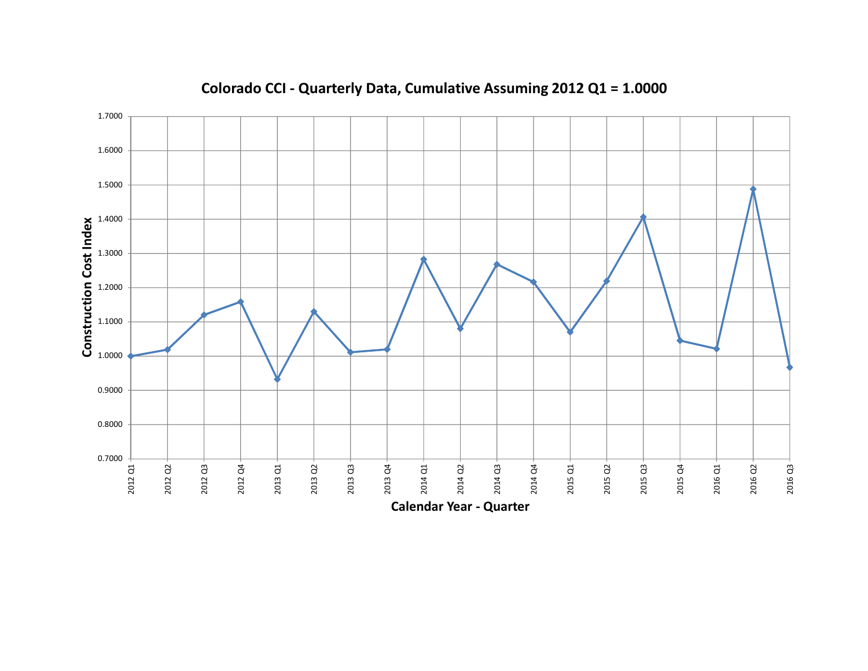

**Colorado CCI - Quarterly Data, Cumulative Assuming 2012 Q1 = 1.0000**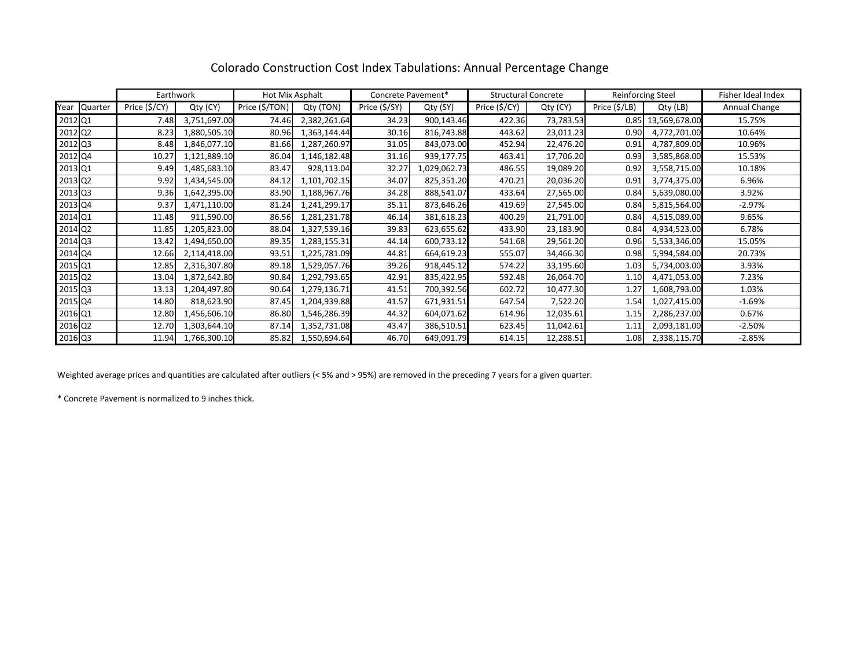|         |         | Earthwork     |              | Hot Mix Asphalt |              | Concrete Pavement* |              | <b>Structural Concrete</b> |           | <b>Reinforcing Steel</b> |               | Fisher Ideal Index |
|---------|---------|---------------|--------------|-----------------|--------------|--------------------|--------------|----------------------------|-----------|--------------------------|---------------|--------------------|
| Year    | Quarter | Price (\$/CY) | Qty (CY)     | Price (\$/TON)  | Qty (TON)    | Price (\$/SY)      | Qty (SY)     | Price (\$/CY)              | Qty (CY)  | Price (\$/LB)            | Qty (LB)      | Annual Change      |
| 2012 Q1 |         | 7.48          | 3,751,697.00 | 74.46           | 2,382,261.64 | 34.23              | 900,143.46   | 422.36                     | 73,783.53 | 0.85                     | 13,569,678.00 | 15.75%             |
| 2012 Q2 |         | 8.23          | 1,880,505.10 | 80.96           | 1,363,144.44 | 30.16              | 816,743.88   | 443.62                     | 23,011.23 | 0.90                     | 4,772,701.00  | 10.64%             |
| 2012 Q3 |         | 8.48          | 1,846,077.10 | 81.66           | 1,287,260.97 | 31.05              | 843,073.00   | 452.94                     | 22,476.20 | 0.91                     | 4,787,809.00  | 10.96%             |
| 2012 Q4 |         | 10.27         | 1,121,889.10 | 86.04           | 1,146,182.48 | 31.16              | 939,177.75   | 463.41                     | 17,706.20 | 0.93                     | 3,585,868.00  | 15.53%             |
| 2013 Q1 |         | 9.49          | 1,485,683.10 | 83.47           | 928,113.04   | 32.27              | 1,029,062.73 | 486.55                     | 19,089.20 | 0.92                     | 3,558,715.00  | 10.18%             |
| 2013 Q2 |         | 9.92          | 1,434,545.00 | 84.12           | 1,101,702.15 | 34.07              | 825,351.20   | 470.21                     | 20,036.20 | 0.91                     | 3,774,375.00  | 6.96%              |
| 2013 Q3 |         | 9.36          | 1,642,395.00 | 83.90           | 1,188,967.76 | 34.28              | 888,541.07   | 433.64                     | 27,565.00 | 0.84                     | 5,639,080.00  | 3.92%              |
| 2013 Q4 |         | 9.37          | 1,471,110.00 | 81.24           | 1,241,299.17 | 35.11              | 873,646.26   | 419.69                     | 27,545.00 | 0.84                     | 5,815,564.00  | $-2.97%$           |
| 2014 Q1 |         | 11.48         | 911,590.00   | 86.56           | 1,281,231.78 | 46.14              | 381,618.23   | 400.29                     | 21,791.00 | 0.84                     | 4,515,089.00  | 9.65%              |
| 2014 Q2 |         | 11.85         | 1,205,823.00 | 88.04           | 1,327,539.16 | 39.83              | 623,655.62   | 433.90                     | 23,183.90 | 0.84                     | 4,934,523.00  | 6.78%              |
| 2014 Q3 |         | 13.42         | 1,494,650.00 | 89.35           | 1,283,155.31 | 44.14              | 600,733.12   | 541.68                     | 29,561.20 | 0.96                     | 5,533,346.00  | 15.05%             |
| 2014 Q4 |         | 12.66         | 2,114,418.00 | 93.51           | 1,225,781.09 | 44.81              | 664,619.23   | 555.07                     | 34,466.30 | 0.98                     | 5,994,584.00  | 20.73%             |
| 2015 Q1 |         | 12.85         | 2,316,307.80 | 89.18           | 1,529,057.76 | 39.26              | 918,445.12   | 574.22                     | 33,195.60 | 1.03                     | 5,734,003.00  | 3.93%              |
| 2015 Q2 |         | 13.04         | 1,872,642.80 | 90.84           | 1,292,793.65 | 42.91              | 835,422.95   | 592.48                     | 26,064.70 | 1.10                     | 4,471,053.00  | 7.23%              |
| 2015 Q3 |         | 13.13         | 1,204,497.80 | 90.64           | 1,279,136.71 | 41.51              | 700,392.56   | 602.72                     | 10,477.30 | 1.27                     | 1,608,793.00  | 1.03%              |
| 2015 Q4 |         | 14.80         | 818,623.90   | 87.45           | 1,204,939.88 | 41.57              | 671,931.51   | 647.54                     | 7,522.20  | 1.54                     | 1,027,415.00  | $-1.69%$           |
| 2016 Q1 |         | 12.80         | 1,456,606.10 | 86.80           | 1,546,286.39 | 44.32              | 604,071.62   | 614.96                     | 12,035.61 | 1.15                     | 2,286,237.00  | 0.67%              |
| 2016 Q2 |         | 12.70         | 1,303,644.10 | 87.14           | 1,352,731.08 | 43.47              | 386,510.51   | 623.45                     | 11,042.61 | 1.11                     | 2,093,181.00  | $-2.50%$           |
| 2016 Q3 |         | 11.94         | 1,766,300.10 | 85.82           | 1,550,694.64 | 46.70              | 649,091.79   | 614.15                     | 12,288.51 | 1.08                     | 2,338,115.70  | $-2.85%$           |

## Colorado Construction Cost Index Tabulations: Annual Percentage Change

Weighted average prices and quantities are calculated after outliers (< 5% and > 95%) are removed in the preceding 7 years for a given quarter.

\* Concrete Pavement is normalized to 9 inches thick.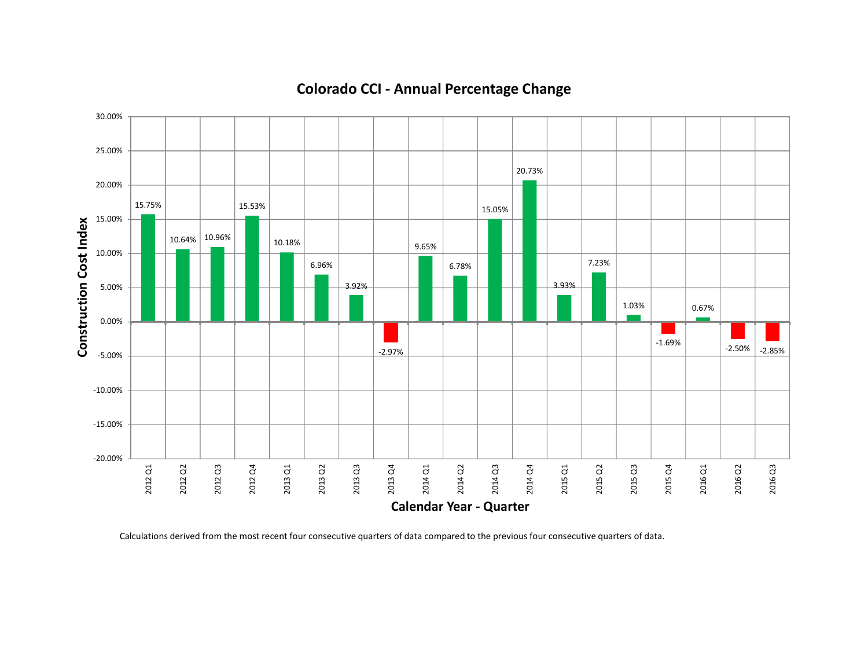

# **Colorado CCI - Annual Percentage Change**

Calculations derived from the most recent four consecutive quarters of data compared to the previous four consecutive quarters of data.